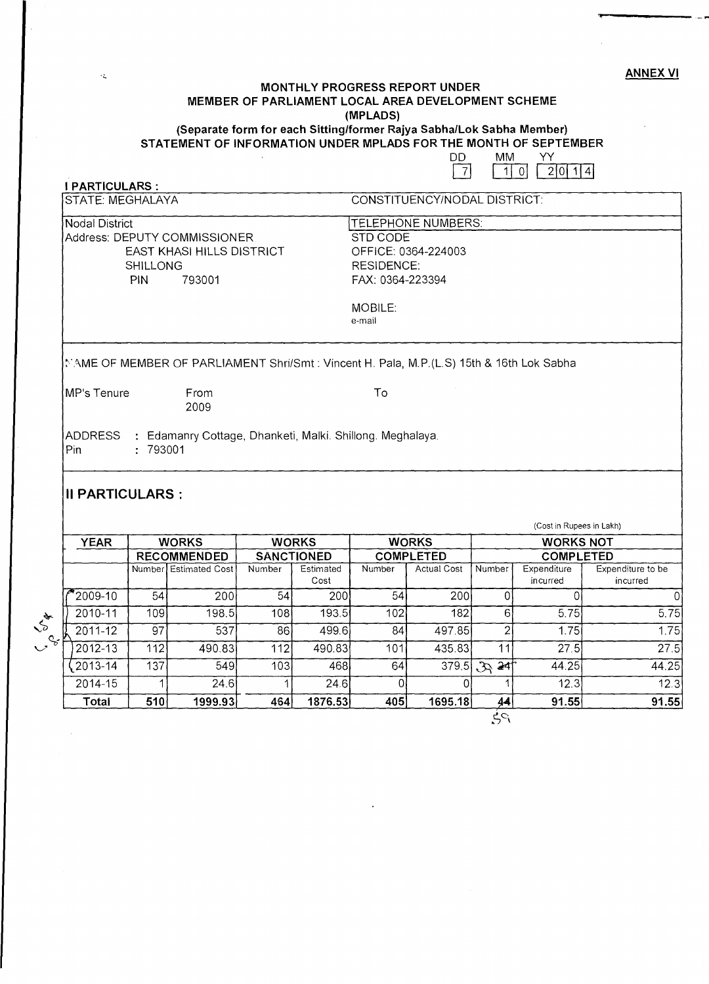ANNEX VI

**+** 

#### **MONTHLY PROGRESS REPORT UNDER MEMBER OF PARLIAMENT LOCAL AREA DEVELOPMENT SCHEME (MPLADS) (Separate form for each Sitting/former Rajya Sabha/Lok Sabha Member)**

## **STATEMENT OF INFORMATION UNDER MPLADS FOR THE MONTH OF SEPTEMBER**

|   |    | ----------          |  |
|---|----|---------------------|--|
| m | MM |                     |  |
|   |    | $-1$ 0 $-2$ 0 $1$ 4 |  |

| <b>PARTICULARS:</b>                                                                                                      |                                                         |                                                                                          |            |                                |                           |                                        |                |                                 |                                           |  |
|--------------------------------------------------------------------------------------------------------------------------|---------------------------------------------------------|------------------------------------------------------------------------------------------|------------|--------------------------------|---------------------------|----------------------------------------|----------------|---------------------------------|-------------------------------------------|--|
|                                                                                                                          | CONSTITUENCY/NODAL DISTRICT:<br><b>STATE: MEGHALAYA</b> |                                                                                          |            |                                |                           |                                        |                |                                 |                                           |  |
| <b>Nodal District</b>                                                                                                    |                                                         |                                                                                          |            |                                | <b>TELEPHONE NUMBERS:</b> |                                        |                |                                 |                                           |  |
|                                                                                                                          |                                                         | Address: DEPUTY COMMISSIONER<br>STD CODE                                                 |            |                                |                           |                                        |                |                                 |                                           |  |
|                                                                                                                          |                                                         | <b>EAST KHASI HILLS DISTRICT</b>                                                         |            |                                | OFFICE: 0364-224003       |                                        |                |                                 |                                           |  |
|                                                                                                                          | SHILLONG                                                |                                                                                          |            |                                | <b>RESIDENCE:</b>         |                                        |                |                                 |                                           |  |
|                                                                                                                          | FAX: 0364-223394<br><b>PIN</b><br>793001                |                                                                                          |            |                                |                           |                                        |                |                                 |                                           |  |
|                                                                                                                          |                                                         |                                                                                          |            |                                | MOBILE:                   |                                        |                |                                 |                                           |  |
|                                                                                                                          |                                                         |                                                                                          |            |                                | e-mail                    |                                        |                |                                 |                                           |  |
|                                                                                                                          |                                                         | NAME OF MEMBER OF PARLIAMENT Shri/Smt : Vincent H. Pala, M.P.(L.S) 15th & 16th Lok Sabha |            |                                |                           |                                        |                |                                 |                                           |  |
| MP's Tenure                                                                                                              |                                                         | From<br>2009                                                                             |            |                                | To                        |                                        |                |                                 |                                           |  |
| <b>ADDRESS</b><br>: Edamanry Cottage, Dhanketi, Malki. Shillong. Meghalaya.<br>: 793001<br>Pin<br><b>II PARTICULARS:</b> |                                                         |                                                                                          |            |                                |                           |                                        |                |                                 |                                           |  |
| <b>YEAR</b>                                                                                                              | (Cost in Rupees in Lakh)                                |                                                                                          |            |                                |                           |                                        |                |                                 |                                           |  |
|                                                                                                                          |                                                         |                                                                                          |            |                                |                           |                                        |                |                                 |                                           |  |
|                                                                                                                          |                                                         | <b>WORKS</b>                                                                             |            | <b>WORKS</b>                   |                           | <b>WORKS</b>                           |                | <b>WORKS NOT</b>                |                                           |  |
|                                                                                                                          |                                                         | <b>RECOMMENDED</b><br>Number Estimated Cost                                              | Number     | <b>SANCTIONED</b><br>Estimated | Number                    | <b>COMPLETED</b><br><b>Actual Cost</b> | Number         | <b>COMPLETED</b><br>Expenditure | Expenditure to be                         |  |
|                                                                                                                          |                                                         |                                                                                          |            | Cost                           |                           |                                        |                | incurred                        | incurred                                  |  |
| 2009-10                                                                                                                  | 54                                                      | 200                                                                                      | 54         | 200                            | 54                        | 200                                    | 0              | $\Omega$                        |                                           |  |
| $2010 - 11$                                                                                                              | 109                                                     | 198.5                                                                                    | 108        | 193.5                          | 102                       | 182                                    | 6              | 5.75                            |                                           |  |
| 2011-12                                                                                                                  | $\overline{97}$                                         | 537                                                                                      | 86         | 499.6                          | 84                        | 497.85                                 | $\overline{2}$ | 1.75                            |                                           |  |
| $2012 - 13$<br>2013-14                                                                                                   | 112<br>137                                              | 490.83<br>549                                                                            | 112<br>103 | 490.83<br>468                  | 101<br>64                 | 435.83<br>379.5                        | 11<br>324      | 27.5<br>44.25                   | $\Omega$<br>5.75<br>1.75<br>27.5<br>44.25 |  |

2014-15 1 24.6 1 24.6 **Total 510 1999.93** 464 **1876.53** 

 $\tilde{\mathcal{L}}$ 

L 5 &

 $44$  $P_{\mathcal{C}_\bullet}^i$ 

1

12.3 12.3 **91.55 91.55** 

0 0 **405 1695.18**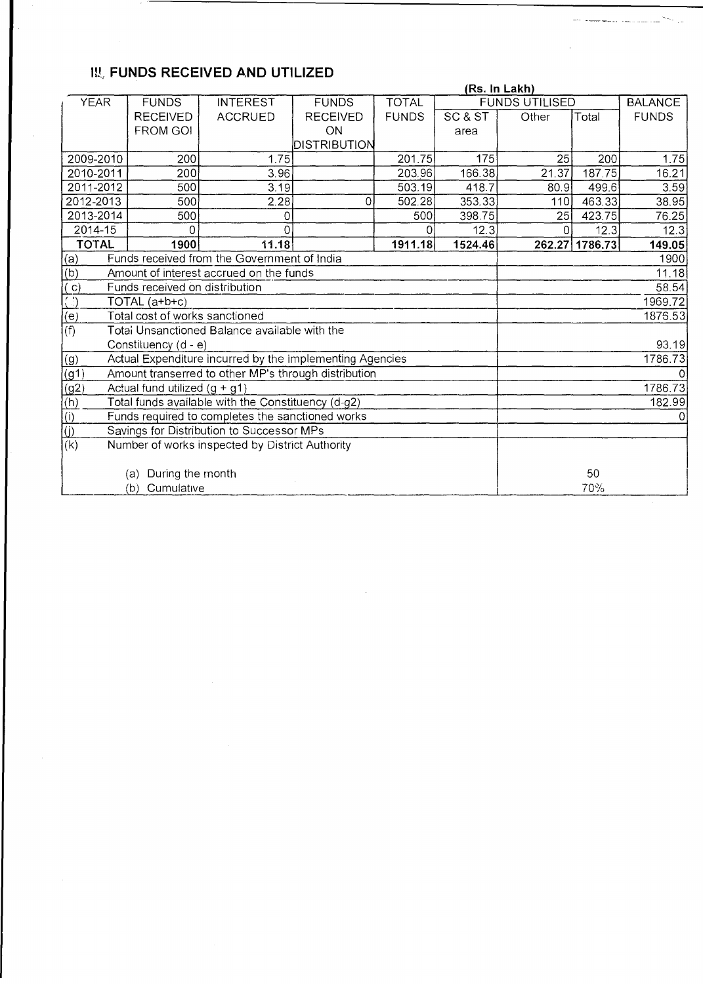## **III, FUNDS RECEIVED AND UTILIZED**

| <b>TOTAL</b><br><b>YEAR</b><br><b>FUNDS</b><br><b>FUNDS</b><br><b>FUNDS UTILISED</b><br><b>BALANCE</b><br><b>INTEREST</b><br>SC & ST<br><b>FUNDS</b><br><b>RECEIVED</b><br><b>ACCRUED</b><br><b>RECEIVED</b><br><b>FUNDS</b><br>Other<br>Total<br><b>FROM GOI</b><br>ON<br>area<br>DISTRIBUTION<br>2009-2010<br>200<br>1.75<br>201.75<br>175<br>25<br>200<br>1.75<br>166.38<br>203.96<br>21.37<br>187.75<br>16.21<br>2010-2011<br>200<br>3.96<br>3.19<br>3.59<br>2011-2012<br>500<br>503.19<br>418.7<br>499.6<br>80.9<br>2012-2013<br>353.33<br>463.33<br>38.95<br>500<br>2.28<br>502.28<br>$\mathbf{O}$<br>110J<br>2013-2014<br>398.75<br>76.25<br>500<br>500<br>423.75<br>25 <sub>l</sub><br>0<br>12.3<br>2014-15<br>12.3<br>12.3<br>0<br>0<br>$\Omega$<br><b>TOTAL</b><br>11.18<br>1911.18<br>1786.73<br>1900<br>1524.46<br>262.27<br>149.05<br>(a)<br>Funds received from the Government of India<br>1900<br>(b)<br>11.18<br>Amount of interest accrued on the funds<br>$\overline{(c)}$<br>Funds received on distribution<br>58.54<br>$\overline{\langle \cdot \rangle}$<br>1969.72<br>TOTAL (a+b+c)<br>$\frac{\overline{(e)}}{(\overline{f})}$<br>Total cost of works sanctioned<br>1876.53<br>Total Unsanctioned Balance available with the<br>Constituency (d - e)<br>93.19<br>Actual Expenditure incurred by the implementing Agencies<br>1786.73<br>(g1)<br>Amount transerred to other MP's through distribution<br>(g2)<br>1786.73<br>Actual fund utilized $(g + g1)$<br>$\frac{f(h)}{f(h)}$<br>Total funds available with the Constituency (d-g2)<br>182.99<br>Funds required to completes the sanctioned works<br>Savings for Distribution to Successor MPs<br>Number of works inspected by District Authority<br>(a) During the month<br>50<br>70%<br>(b) Cumulative |                           | (Rs. In Lakh) |  |  |  |  |  |  |  |
|------------------------------------------------------------------------------------------------------------------------------------------------------------------------------------------------------------------------------------------------------------------------------------------------------------------------------------------------------------------------------------------------------------------------------------------------------------------------------------------------------------------------------------------------------------------------------------------------------------------------------------------------------------------------------------------------------------------------------------------------------------------------------------------------------------------------------------------------------------------------------------------------------------------------------------------------------------------------------------------------------------------------------------------------------------------------------------------------------------------------------------------------------------------------------------------------------------------------------------------------------------------------------------------------------------------------------------------------------------------------------------------------------------------------------------------------------------------------------------------------------------------------------------------------------------------------------------------------------------------------------------------------------------------------------------------------------------------------------------------------------------------------------------|---------------------------|---------------|--|--|--|--|--|--|--|
|                                                                                                                                                                                                                                                                                                                                                                                                                                                                                                                                                                                                                                                                                                                                                                                                                                                                                                                                                                                                                                                                                                                                                                                                                                                                                                                                                                                                                                                                                                                                                                                                                                                                                                                                                                                    |                           |               |  |  |  |  |  |  |  |
|                                                                                                                                                                                                                                                                                                                                                                                                                                                                                                                                                                                                                                                                                                                                                                                                                                                                                                                                                                                                                                                                                                                                                                                                                                                                                                                                                                                                                                                                                                                                                                                                                                                                                                                                                                                    |                           |               |  |  |  |  |  |  |  |
|                                                                                                                                                                                                                                                                                                                                                                                                                                                                                                                                                                                                                                                                                                                                                                                                                                                                                                                                                                                                                                                                                                                                                                                                                                                                                                                                                                                                                                                                                                                                                                                                                                                                                                                                                                                    |                           |               |  |  |  |  |  |  |  |
|                                                                                                                                                                                                                                                                                                                                                                                                                                                                                                                                                                                                                                                                                                                                                                                                                                                                                                                                                                                                                                                                                                                                                                                                                                                                                                                                                                                                                                                                                                                                                                                                                                                                                                                                                                                    |                           |               |  |  |  |  |  |  |  |
|                                                                                                                                                                                                                                                                                                                                                                                                                                                                                                                                                                                                                                                                                                                                                                                                                                                                                                                                                                                                                                                                                                                                                                                                                                                                                                                                                                                                                                                                                                                                                                                                                                                                                                                                                                                    |                           |               |  |  |  |  |  |  |  |
|                                                                                                                                                                                                                                                                                                                                                                                                                                                                                                                                                                                                                                                                                                                                                                                                                                                                                                                                                                                                                                                                                                                                                                                                                                                                                                                                                                                                                                                                                                                                                                                                                                                                                                                                                                                    |                           |               |  |  |  |  |  |  |  |
|                                                                                                                                                                                                                                                                                                                                                                                                                                                                                                                                                                                                                                                                                                                                                                                                                                                                                                                                                                                                                                                                                                                                                                                                                                                                                                                                                                                                                                                                                                                                                                                                                                                                                                                                                                                    |                           |               |  |  |  |  |  |  |  |
|                                                                                                                                                                                                                                                                                                                                                                                                                                                                                                                                                                                                                                                                                                                                                                                                                                                                                                                                                                                                                                                                                                                                                                                                                                                                                                                                                                                                                                                                                                                                                                                                                                                                                                                                                                                    |                           |               |  |  |  |  |  |  |  |
|                                                                                                                                                                                                                                                                                                                                                                                                                                                                                                                                                                                                                                                                                                                                                                                                                                                                                                                                                                                                                                                                                                                                                                                                                                                                                                                                                                                                                                                                                                                                                                                                                                                                                                                                                                                    |                           |               |  |  |  |  |  |  |  |
|                                                                                                                                                                                                                                                                                                                                                                                                                                                                                                                                                                                                                                                                                                                                                                                                                                                                                                                                                                                                                                                                                                                                                                                                                                                                                                                                                                                                                                                                                                                                                                                                                                                                                                                                                                                    |                           |               |  |  |  |  |  |  |  |
|                                                                                                                                                                                                                                                                                                                                                                                                                                                                                                                                                                                                                                                                                                                                                                                                                                                                                                                                                                                                                                                                                                                                                                                                                                                                                                                                                                                                                                                                                                                                                                                                                                                                                                                                                                                    |                           |               |  |  |  |  |  |  |  |
|                                                                                                                                                                                                                                                                                                                                                                                                                                                                                                                                                                                                                                                                                                                                                                                                                                                                                                                                                                                                                                                                                                                                                                                                                                                                                                                                                                                                                                                                                                                                                                                                                                                                                                                                                                                    |                           |               |  |  |  |  |  |  |  |
|                                                                                                                                                                                                                                                                                                                                                                                                                                                                                                                                                                                                                                                                                                                                                                                                                                                                                                                                                                                                                                                                                                                                                                                                                                                                                                                                                                                                                                                                                                                                                                                                                                                                                                                                                                                    |                           |               |  |  |  |  |  |  |  |
|                                                                                                                                                                                                                                                                                                                                                                                                                                                                                                                                                                                                                                                                                                                                                                                                                                                                                                                                                                                                                                                                                                                                                                                                                                                                                                                                                                                                                                                                                                                                                                                                                                                                                                                                                                                    |                           |               |  |  |  |  |  |  |  |
|                                                                                                                                                                                                                                                                                                                                                                                                                                                                                                                                                                                                                                                                                                                                                                                                                                                                                                                                                                                                                                                                                                                                                                                                                                                                                                                                                                                                                                                                                                                                                                                                                                                                                                                                                                                    |                           |               |  |  |  |  |  |  |  |
|                                                                                                                                                                                                                                                                                                                                                                                                                                                                                                                                                                                                                                                                                                                                                                                                                                                                                                                                                                                                                                                                                                                                                                                                                                                                                                                                                                                                                                                                                                                                                                                                                                                                                                                                                                                    |                           |               |  |  |  |  |  |  |  |
|                                                                                                                                                                                                                                                                                                                                                                                                                                                                                                                                                                                                                                                                                                                                                                                                                                                                                                                                                                                                                                                                                                                                                                                                                                                                                                                                                                                                                                                                                                                                                                                                                                                                                                                                                                                    |                           |               |  |  |  |  |  |  |  |
|                                                                                                                                                                                                                                                                                                                                                                                                                                                                                                                                                                                                                                                                                                                                                                                                                                                                                                                                                                                                                                                                                                                                                                                                                                                                                                                                                                                                                                                                                                                                                                                                                                                                                                                                                                                    |                           |               |  |  |  |  |  |  |  |
|                                                                                                                                                                                                                                                                                                                                                                                                                                                                                                                                                                                                                                                                                                                                                                                                                                                                                                                                                                                                                                                                                                                                                                                                                                                                                                                                                                                                                                                                                                                                                                                                                                                                                                                                                                                    | (g)                       |               |  |  |  |  |  |  |  |
|                                                                                                                                                                                                                                                                                                                                                                                                                                                                                                                                                                                                                                                                                                                                                                                                                                                                                                                                                                                                                                                                                                                                                                                                                                                                                                                                                                                                                                                                                                                                                                                                                                                                                                                                                                                    |                           |               |  |  |  |  |  |  |  |
|                                                                                                                                                                                                                                                                                                                                                                                                                                                                                                                                                                                                                                                                                                                                                                                                                                                                                                                                                                                                                                                                                                                                                                                                                                                                                                                                                                                                                                                                                                                                                                                                                                                                                                                                                                                    |                           |               |  |  |  |  |  |  |  |
|                                                                                                                                                                                                                                                                                                                                                                                                                                                                                                                                                                                                                                                                                                                                                                                                                                                                                                                                                                                                                                                                                                                                                                                                                                                                                                                                                                                                                                                                                                                                                                                                                                                                                                                                                                                    |                           |               |  |  |  |  |  |  |  |
|                                                                                                                                                                                                                                                                                                                                                                                                                                                                                                                                                                                                                                                                                                                                                                                                                                                                                                                                                                                                                                                                                                                                                                                                                                                                                                                                                                                                                                                                                                                                                                                                                                                                                                                                                                                    |                           |               |  |  |  |  |  |  |  |
|                                                                                                                                                                                                                                                                                                                                                                                                                                                                                                                                                                                                                                                                                                                                                                                                                                                                                                                                                                                                                                                                                                                                                                                                                                                                                                                                                                                                                                                                                                                                                                                                                                                                                                                                                                                    | $\overline{(\mathsf{j})}$ |               |  |  |  |  |  |  |  |
|                                                                                                                                                                                                                                                                                                                                                                                                                                                                                                                                                                                                                                                                                                                                                                                                                                                                                                                                                                                                                                                                                                                                                                                                                                                                                                                                                                                                                                                                                                                                                                                                                                                                                                                                                                                    | $\overline{(\mathsf{k})}$ |               |  |  |  |  |  |  |  |
|                                                                                                                                                                                                                                                                                                                                                                                                                                                                                                                                                                                                                                                                                                                                                                                                                                                                                                                                                                                                                                                                                                                                                                                                                                                                                                                                                                                                                                                                                                                                                                                                                                                                                                                                                                                    |                           |               |  |  |  |  |  |  |  |
|                                                                                                                                                                                                                                                                                                                                                                                                                                                                                                                                                                                                                                                                                                                                                                                                                                                                                                                                                                                                                                                                                                                                                                                                                                                                                                                                                                                                                                                                                                                                                                                                                                                                                                                                                                                    |                           |               |  |  |  |  |  |  |  |
|                                                                                                                                                                                                                                                                                                                                                                                                                                                                                                                                                                                                                                                                                                                                                                                                                                                                                                                                                                                                                                                                                                                                                                                                                                                                                                                                                                                                                                                                                                                                                                                                                                                                                                                                                                                    |                           |               |  |  |  |  |  |  |  |